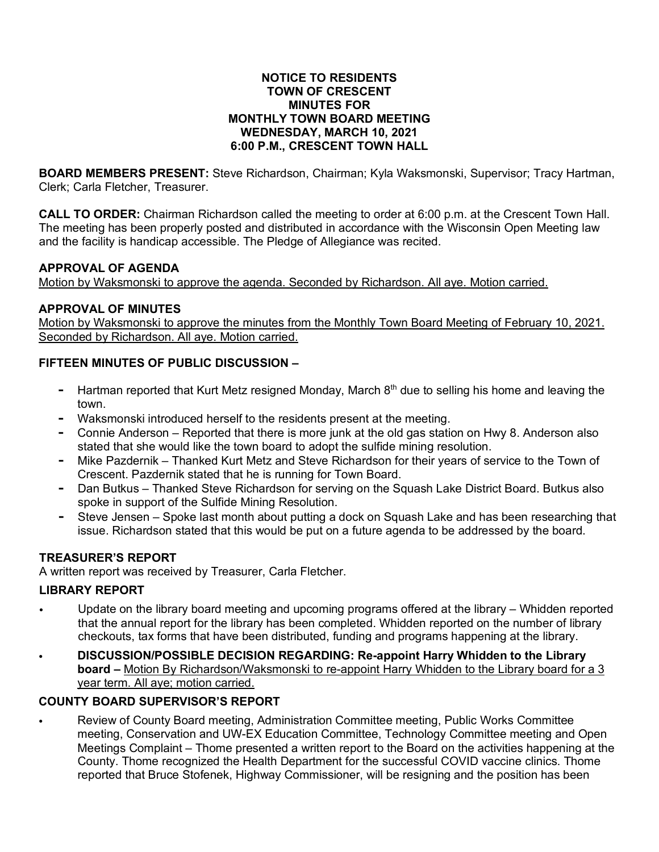#### **NOTICE TO RESIDENTS TOWN OF CRESCENT MINUTES FOR MONTHLY TOWN BOARD MEETING WEDNESDAY, MARCH 10, 2021 6:00 P.M., CRESCENT TOWN HALL**

**BOARD MEMBERS PRESENT:** Steve Richardson, Chairman; Kyla Waksmonski, Supervisor; Tracy Hartman, Clerk; Carla Fletcher, Treasurer.

**CALL TO ORDER:** Chairman Richardson called the meeting to order at 6:00 p.m. at the Crescent Town Hall. The meeting has been properly posted and distributed in accordance with the Wisconsin Open Meeting law and the facility is handicap accessible. The Pledge of Allegiance was recited.

#### **APPROVAL OF AGENDA**

Motion by Waksmonski to approve the agenda. Seconded by Richardson. All aye. Motion carried.

## **APPROVAL OF MINUTES**

Motion by Waksmonski to approve the minutes from the Monthly Town Board Meeting of February 10, 2021. Seconded by Richardson. All aye. Motion carried.

### **FIFTEEN MINUTES OF PUBLIC DISCUSSION –**

- **-** Hartman reported that Kurt Metz resigned Monday, March 8th due to selling his home and leaving the town.
- **-** Waksmonski introduced herself to the residents present at the meeting.
- **-** Connie Anderson Reported that there is more junk at the old gas station on Hwy 8. Anderson also stated that she would like the town board to adopt the sulfide mining resolution.
- **-** Mike Pazdernik Thanked Kurt Metz and Steve Richardson for their years of service to the Town of Crescent. Pazdernik stated that he is running for Town Board.
- **-** Dan Butkus Thanked Steve Richardson for serving on the Squash Lake District Board. Butkus also spoke in support of the Sulfide Mining Resolution.
- **-** Steve Jensen Spoke last month about putting a dock on Squash Lake and has been researching that issue. Richardson stated that this would be put on a future agenda to be addressed by the board.

## **TREASURER'S REPORT**

A written report was received by Treasurer, Carla Fletcher.

## **LIBRARY REPORT**

- Update on the library board meeting and upcoming programs offered at the library Whidden reported that the annual report for the library has been completed. Whidden reported on the number of library checkouts, tax forms that have been distributed, funding and programs happening at the library.
- **DISCUSSION/POSSIBLE DECISION REGARDING: Re-appoint Harry Whidden to the Library board –** Motion By Richardson/Waksmonski to re-appoint Harry Whidden to the Library board for a 3 year term. All aye; motion carried.

#### **COUNTY BOARD SUPERVISOR'S REPORT**

• Review of County Board meeting, Administration Committee meeting, Public Works Committee meeting, Conservation and UW-EX Education Committee, Technology Committee meeting and Open Meetings Complaint – Thome presented a written report to the Board on the activities happening at the County. Thome recognized the Health Department for the successful COVID vaccine clinics. Thome reported that Bruce Stofenek, Highway Commissioner, will be resigning and the position has been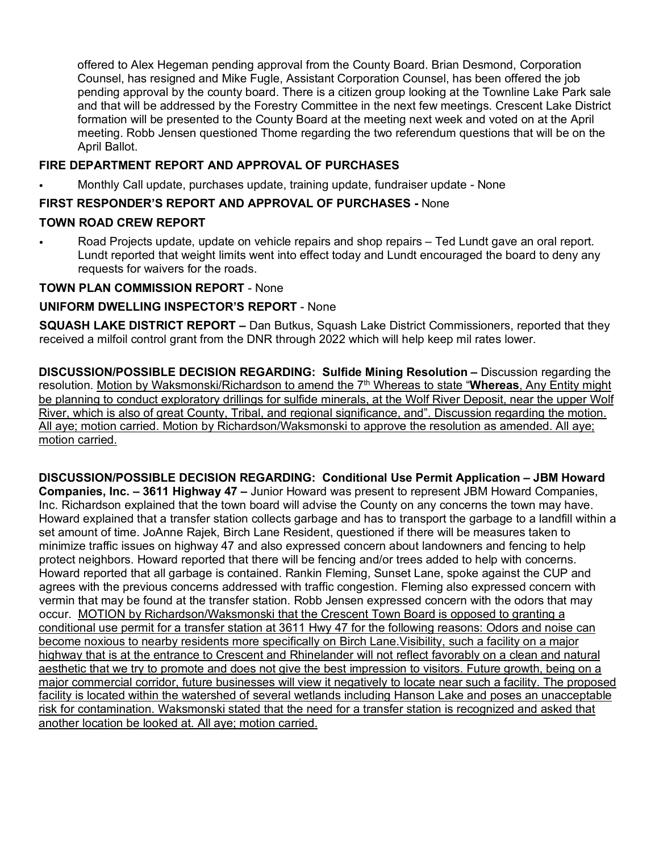offered to Alex Hegeman pending approval from the County Board. Brian Desmond, Corporation Counsel, has resigned and Mike Fugle, Assistant Corporation Counsel, has been offered the job pending approval by the county board. There is a citizen group looking at the Townline Lake Park sale and that will be addressed by the Forestry Committee in the next few meetings. Crescent Lake District formation will be presented to the County Board at the meeting next week and voted on at the April meeting. Robb Jensen questioned Thome regarding the two referendum questions that will be on the April Ballot.

### **FIRE DEPARTMENT REPORT AND APPROVAL OF PURCHASES**

• Monthly Call update, purchases update, training update, fundraiser update - None

# **FIRST RESPONDER'S REPORT AND APPROVAL OF PURCHASES -** None

#### **TOWN ROAD CREW REPORT**

• Road Projects update, update on vehicle repairs and shop repairs – Ted Lundt gave an oral report. Lundt reported that weight limits went into effect today and Lundt encouraged the board to deny any requests for waivers for the roads.

### **TOWN PLAN COMMISSION REPORT** - None

### **UNIFORM DWELLING INSPECTOR'S REPORT** - None

**SQUASH LAKE DISTRICT REPORT –** Dan Butkus, Squash Lake District Commissioners, reported that they received a milfoil control grant from the DNR through 2022 which will help keep mil rates lower.

**DISCUSSION/POSSIBLE DECISION REGARDING: Sulfide Mining Resolution –** Discussion regarding the resolution. Motion by Waksmonski/Richardson to amend the 7<sup>th</sup> Whereas to state "Whereas, Any Entity might be planning to conduct exploratory drillings for sulfide minerals, at the Wolf River Deposit, near the upper Wolf River, which is also of great County, Tribal, and regional significance, and". Discussion regarding the motion. All aye; motion carried. Motion by Richardson/Waksmonski to approve the resolution as amended. All aye; motion carried.

**DISCUSSION/POSSIBLE DECISION REGARDING: Conditional Use Permit Application – JBM Howard Companies, Inc. – 3611 Highway 47 –** Junior Howard was present to represent JBM Howard Companies, Inc. Richardson explained that the town board will advise the County on any concerns the town may have. Howard explained that a transfer station collects garbage and has to transport the garbage to a landfill within a set amount of time. JoAnne Rajek, Birch Lane Resident, questioned if there will be measures taken to minimize traffic issues on highway 47 and also expressed concern about landowners and fencing to help protect neighbors. Howard reported that there will be fencing and/or trees added to help with concerns. Howard reported that all garbage is contained. Rankin Fleming, Sunset Lane, spoke against the CUP and agrees with the previous concerns addressed with traffic congestion. Fleming also expressed concern with vermin that may be found at the transfer station. Robb Jensen expressed concern with the odors that may occur. MOTION by Richardson/Waksmonski that the Crescent Town Board is opposed to granting a conditional use permit for a transfer station at 3611 Hwy 47 for the following reasons: Odors and noise can become noxious to nearby residents more specifically on Birch Lane.Visibility, such a facility on a major highway that is at the entrance to Crescent and Rhinelander will not reflect favorably on a clean and natural aesthetic that we try to promote and does not give the best impression to visitors. Future growth, being on a major commercial corridor, future businesses will view it negatively to locate near such a facility. The proposed facility is located within the watershed of several wetlands including Hanson Lake and poses an unacceptable risk for contamination. Waksmonski stated that the need for a transfer station is recognized and asked that another location be looked at. All aye; motion carried.